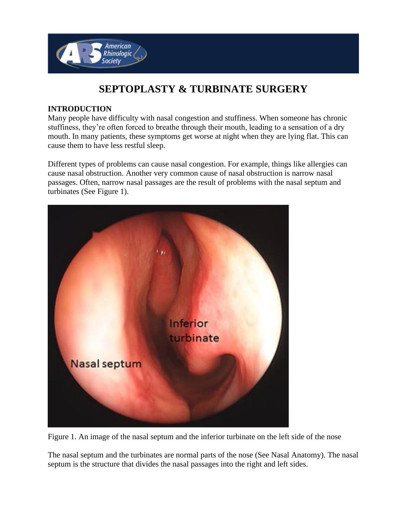

# **SEPTOPLASTY & TURBINATE SURGERY**

#### **INTRODUCTION**

Many people have difficulty with nasal congestion and stuffiness. When someone has chronic stuffiness, they're often forced to breathe through their mouth, leading to a sensation of a dry mouth. In many patients, these symptoms get worse at night when they are lying flat. This can cause them to have less restful sleep.

Different types of problems can cause nasal congestion. For example, things like allergies can cause nasal obstruction. Another very common cause of nasal obstruction is narrow nasal passages. Often, narrow nasal passages are the result of problems with the nasal septum and turbinates (See Figure 1).



Figure 1. An image of the nasal septum and the inferior turbinate on the left side of the nose

The nasal septum and the turbinates are normal parts of the nose (See Nasal Anatomy). The nasal septum is the structure that divides the nasal passages into the right and left sides.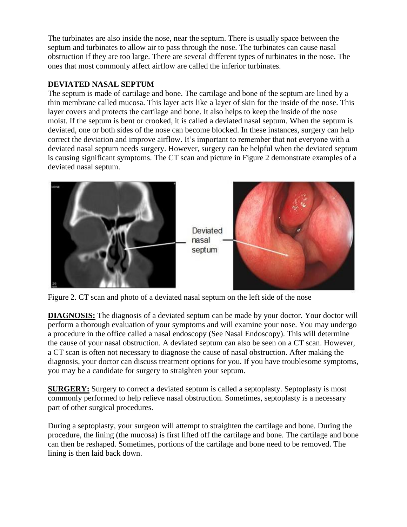The turbinates are also inside the nose, near the septum. There is usually space between the septum and turbinates to allow air to pass through the nose. The turbinates can cause nasal obstruction if they are too large. There are several different types of turbinates in the nose. The ones that most commonly affect airflow are called the inferior turbinates.

## **DEVIATED NASAL SEPTUM**

The septum is made of cartilage and bone. The cartilage and bone of the septum are lined by a thin membrane called mucosa. This layer acts like a layer of skin for the inside of the nose. This layer covers and protects the cartilage and bone. It also helps to keep the inside of the nose moist. If the septum is bent or crooked, it is called a deviated nasal septum. When the septum is deviated, one or both sides of the nose can become blocked. In these instances, surgery can help correct the deviation and improve airflow. It's important to remember that not everyone with a deviated nasal septum needs surgery. However, surgery can be helpful when the deviated septum is causing significant symptoms. The CT scan and picture in Figure 2 demonstrate examples of a deviated nasal septum.



Figure 2. CT scan and photo of a deviated nasal septum on the left side of the nose

**DIAGNOSIS:** The diagnosis of a deviated septum can be made by your doctor. Your doctor will perform a thorough evaluation of your symptoms and will examine your nose. You may undergo a procedure in the office called a nasal endoscopy (See Nasal Endoscopy). This will determine the cause of your nasal obstruction. A deviated septum can also be seen on a CT scan. However, a CT scan is often not necessary to diagnose the cause of nasal obstruction. After making the diagnosis, your doctor can discuss treatment options for you. If you have troublesome symptoms, you may be a candidate for surgery to straighten your septum.

**SURGERY:** Surgery to correct a deviated septum is called a septoplasty. Septoplasty is most commonly performed to help relieve nasal obstruction. Sometimes, septoplasty is a necessary part of other surgical procedures.

During a septoplasty, your surgeon will attempt to straighten the cartilage and bone. During the procedure, the lining (the mucosa) is first lifted off the cartilage and bone. The cartilage and bone can then be reshaped. Sometimes, portions of the cartilage and bone need to be removed. The lining is then laid back down.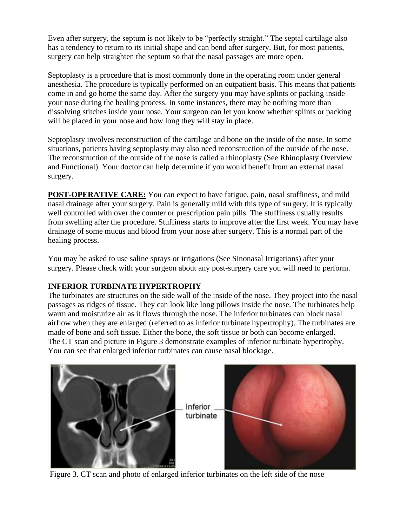Even after surgery, the septum is not likely to be "perfectly straight." The septal cartilage also has a tendency to return to its initial shape and can bend after surgery. But, for most patients, surgery can help straighten the septum so that the nasal passages are more open.

Septoplasty is a procedure that is most commonly done in the operating room under general anesthesia. The procedure is typically performed on an outpatient basis. This means that patients come in and go home the same day. After the surgery you may have splints or packing inside your nose during the healing process. In some instances, there may be nothing more than dissolving stitches inside your nose. Your surgeon can let you know whether splints or packing will be placed in your nose and how long they will stay in place.

Septoplasty involves reconstruction of the cartilage and bone on the inside of the nose. In some situations, patients having septoplasty may also need reconstruction of the outside of the nose. The reconstruction of the outside of the nose is called a rhinoplasty (See Rhinoplasty Overview and Functional). Your doctor can help determine if you would benefit from an external nasal surgery.

**POST-OPERATIVE CARE:** You can expect to have fatigue, pain, nasal stuffiness, and mild nasal drainage after your surgery. Pain is generally mild with this type of surgery. It is typically well controlled with over the counter or prescription pain pills. The stuffiness usually results from swelling after the procedure. Stuffiness starts to improve after the first week. You may have drainage of some mucus and blood from your nose after surgery. This is a normal part of the healing process.

You may be asked to use saline sprays or irrigations (See Sinonasal Irrigations) after your surgery. Please check with your surgeon about any post-surgery care you will need to perform.

### **INFERIOR TURBINATE HYPERTROPHY**

The turbinates are structures on the side wall of the inside of the nose. They project into the nasal passages as ridges of tissue. They can look like long pillows inside the nose. The turbinates help warm and moisturize air as it flows through the nose. The inferior turbinates can block nasal airflow when they are enlarged (referred to as inferior turbinate hypertrophy). The turbinates are made of bone and soft tissue. Either the bone, the soft tissue or both can become enlarged. The CT scan and picture in Figure 3 demonstrate examples of inferior turbinate hypertrophy. You can see that enlarged inferior turbinates can cause nasal blockage.



Figure 3. CT scan and photo of enlarged inferior turbinates on the left side of the nose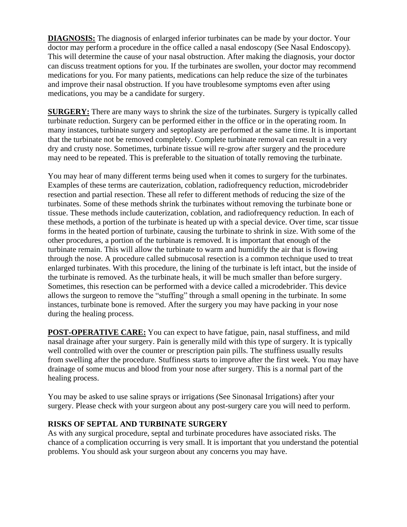**DIAGNOSIS:** The diagnosis of enlarged inferior turbinates can be made by your doctor. Your doctor may perform a procedure in the office called a nasal endoscopy (See Nasal Endoscopy). This will determine the cause of your nasal obstruction. After making the diagnosis, your doctor can discuss treatment options for you. If the turbinates are swollen, your doctor may recommend medications for you. For many patients, medications can help reduce the size of the turbinates and improve their nasal obstruction. If you have troublesome symptoms even after using medications, you may be a candidate for surgery.

**SURGERY:** There are many ways to shrink the size of the turbinates. Surgery is typically called turbinate reduction. Surgery can be performed either in the office or in the operating room. In many instances, turbinate surgery and septoplasty are performed at the same time. It is important that the turbinate not be removed completely. Complete turbinate removal can result in a very dry and crusty nose. Sometimes, turbinate tissue will re-grow after surgery and the procedure may need to be repeated. This is preferable to the situation of totally removing the turbinate.

You may hear of many different terms being used when it comes to surgery for the turbinates. Examples of these terms are cauterization, coblation, radiofrequency reduction, microdebrider resection and partial resection. These all refer to different methods of reducing the size of the turbinates. Some of these methods shrink the turbinates without removing the turbinate bone or tissue. These methods include cauterization, coblation, and radiofrequency reduction. In each of these methods, a portion of the turbinate is heated up with a special device. Over time, scar tissue forms in the heated portion of turbinate, causing the turbinate to shrink in size. With some of the other procedures, a portion of the turbinate is removed. It is important that enough of the turbinate remain. This will allow the turbinate to warm and humidify the air that is flowing through the nose. A procedure called submucosal resection is a common technique used to treat enlarged turbinates. With this procedure, the lining of the turbinate is left intact, but the inside of the turbinate is removed. As the turbinate heals, it will be much smaller than before surgery. Sometimes, this resection can be performed with a device called a microdebrider. This device allows the surgeon to remove the "stuffing" through a small opening in the turbinate. In some instances, turbinate bone is removed. After the surgery you may have packing in your nose during the healing process.

**POST-OPERATIVE CARE:** You can expect to have fatigue, pain, nasal stuffiness, and mild nasal drainage after your surgery. Pain is generally mild with this type of surgery. It is typically well controlled with over the counter or prescription pain pills. The stuffiness usually results from swelling after the procedure. Stuffiness starts to improve after the first week. You may have drainage of some mucus and blood from your nose after surgery. This is a normal part of the healing process.

You may be asked to use saline sprays or irrigations (See Sinonasal Irrigations) after your surgery. Please check with your surgeon about any post-surgery care you will need to perform.

### **RISKS OF SEPTAL AND TURBINATE SURGERY**

As with any surgical procedure, septal and turbinate procedures have associated risks. The chance of a complication occurring is very small. It is important that you understand the potential problems. You should ask your surgeon about any concerns you may have.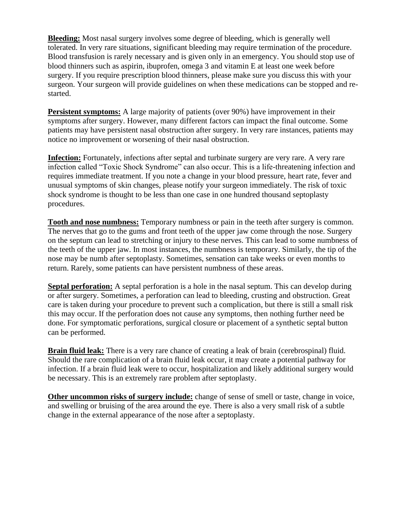**Bleeding:** Most nasal surgery involves some degree of bleeding, which is generally well tolerated. In very rare situations, significant bleeding may require termination of the procedure. Blood transfusion is rarely necessary and is given only in an emergency. You should stop use of blood thinners such as aspirin, ibuprofen, omega 3 and vitamin E at least one week before surgery. If you require prescription blood thinners, please make sure you discuss this with your surgeon. Your surgeon will provide guidelines on when these medications can be stopped and restarted.

**Persistent symptoms:** A large majority of patients (over 90%) have improvement in their symptoms after surgery. However, many different factors can impact the final outcome. Some patients may have persistent nasal obstruction after surgery. In very rare instances, patients may notice no improvement or worsening of their nasal obstruction.

**Infection:** Fortunately, infections after septal and turbinate surgery are very rare. A very rare infection called "Toxic Shock Syndrome" can also occur. This is a life-threatening infection and requires immediate treatment. If you note a change in your blood pressure, heart rate, fever and unusual symptoms of skin changes, please notify your surgeon immediately. The risk of toxic shock syndrome is thought to be less than one case in one hundred thousand septoplasty procedures.

**Tooth and nose numbness:** Temporary numbness or pain in the teeth after surgery is common. The nerves that go to the gums and front teeth of the upper jaw come through the nose. Surgery on the septum can lead to stretching or injury to these nerves. This can lead to some numbness of the teeth of the upper jaw. In most instances, the numbness is temporary. Similarly, the tip of the nose may be numb after septoplasty. Sometimes, sensation can take weeks or even months to return. Rarely, some patients can have persistent numbness of these areas.

**Septal perforation:** A septal perforation is a hole in the nasal septum. This can develop during or after surgery. Sometimes, a perforation can lead to bleeding, crusting and obstruction. Great care is taken during your procedure to prevent such a complication, but there is still a small risk this may occur. If the perforation does not cause any symptoms, then nothing further need be done. For symptomatic perforations, surgical closure or placement of a synthetic septal button can be performed.

**Brain fluid leak:** There is a very rare chance of creating a leak of brain (cerebrospinal) fluid. Should the rare complication of a brain fluid leak occur, it may create a potential pathway for infection. If a brain fluid leak were to occur, hospitalization and likely additional surgery would be necessary. This is an extremely rare problem after septoplasty.

**Other uncommon risks of surgery include:** change of sense of smell or taste, change in voice, and swelling or bruising of the area around the eye. There is also a very small risk of a subtle change in the external appearance of the nose after a septoplasty.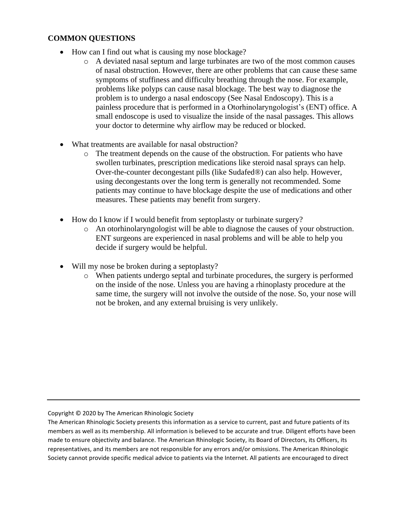### **COMMON QUESTIONS**

- How can I find out what is causing my nose blockage?
	- o A deviated nasal septum and large turbinates are two of the most common causes of nasal obstruction. However, there are other problems that can cause these same symptoms of stuffiness and difficulty breathing through the nose. For example, problems like polyps can cause nasal blockage. The best way to diagnose the problem is to undergo a nasal endoscopy (See Nasal Endoscopy). This is a painless procedure that is performed in a Otorhinolaryngologist's (ENT) office. A small endoscope is used to visualize the inside of the nasal passages. This allows your doctor to determine why airflow may be reduced or blocked.
- What treatments are available for nasal obstruction?
	- o The treatment depends on the cause of the obstruction. For patients who have swollen turbinates, prescription medications like steroid nasal sprays can help. Over-the-counter decongestant pills (like Sudafed®) can also help. However, using decongestants over the long term is generally not recommended. Some patients may continue to have blockage despite the use of medications and other measures. These patients may benefit from surgery.
- How do I know if I would benefit from septoplasty or turbinate surgery?
	- o An otorhinolaryngologist will be able to diagnose the causes of your obstruction. ENT surgeons are experienced in nasal problems and will be able to help you decide if surgery would be helpful.
- Will my nose be broken during a septoplasty?
	- o When patients undergo septal and turbinate procedures, the surgery is performed on the inside of the nose. Unless you are having a rhinoplasty procedure at the same time, the surgery will not involve the outside of the nose. So, your nose will not be broken, and any external bruising is very unlikely.

Copyright © 2020 by The American Rhinologic Society

The American Rhinologic Society presents this information as a service to current, past and future patients of its members as well as its membership. All information is believed to be accurate and true. Diligent efforts have been made to ensure objectivity and balance. The American Rhinologic Society, its Board of Directors, its Officers, its representatives, and its members are not responsible for any errors and/or omissions. The American Rhinologic Society cannot provide specific medical advice to patients via the Internet. All patients are encouraged to direct